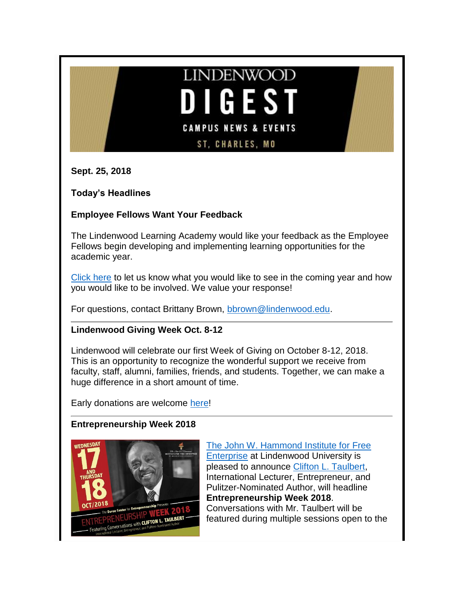# **LINDENWOOD** GES<sup>T</sup> **CAMPUS NEWS & EVENTS ST, CHARLES, MO**

**Sept. 25, 2018**

**Today's Headlines**

# **Employee Fellows Want Your Feedback**

The Lindenwood Learning Academy would like your feedback as the Employee Fellows begin developing and implementing learning opportunities for the academic year.

[Click here](http://www.lindenwood.edu/human-resources/lindenwood-learning-academy/events/survey/) to let us know what you would like to see in the coming year and how you would like to be involved. We value your response!

For questions, contact Brittany Brown, [bbrown@lindenwood.edu.](mailto:bbrown@lindenwood.edu)

# **Lindenwood Giving Week Oct. 8-12**

Lindenwood will celebrate our first Week of Giving on October 8-12, 2018. This is an opportunity to recognize the wonderful support we receive from faculty, staff, alumni, families, friends, and students. Together, we can make a huge difference in a short amount of time.

Early donations are welcome [here!](https://p2p.idonate.com/lindenwood-university)

# **Entrepreneurship Week 2018**



[The John W. Hammond Institute for Free](https://www.hammondinstitute.org/events)  [Enterprise](https://www.hammondinstitute.org/events) at Lindenwood University is pleased to announce [Clifton L. Taulbert,](http://www.cliftontaulbert.com/) International Lecturer, Entrepreneur, and Pulitzer-Nominated Author, will headline **Entrepreneurship Week 2018**. Conversations with Mr. Taulbert will be featured during multiple sessions open to the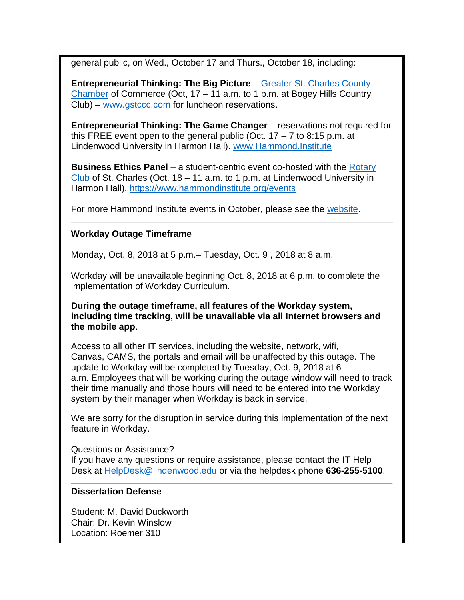general public, on Wed., October 17 and Thurs., October 18, including:

**Entrepreneurial Thinking: The Big Picture** – [Greater St. Charles County](http://www.gstccc.com/blog/chamber-blog-2372/post/october-lunch-with-leaders-to-feature-clifton-l-taulbert-entrepreneur-pulitzer-nominee-international-lecturer-16300)  [Chamber](http://www.gstccc.com/blog/chamber-blog-2372/post/october-lunch-with-leaders-to-feature-clifton-l-taulbert-entrepreneur-pulitzer-nominee-international-lecturer-16300) of Commerce (Oct, 17 – 11 a.m. to 1 p.m. at Bogey Hills Country Club) – [www.gstccc.com](http://www.gstccc.com/) for luncheon reservations.

**Entrepreneurial Thinking: The Game Changer** – reservations not required for this FREE event open to the general public (Oct.  $17 - 7$  to 8:15 p.m. at Lindenwood University in Harmon Hall). [www.Hammond.Institute](http://www.hammond.institute/)

**Business Ethics Panel** – a student-centric event co-hosted with the [Rotary](http://www.stcharlesrotary.org/)  [Club](http://www.stcharlesrotary.org/) of St. Charles (Oct.  $18 - 11$  a.m. to 1 p.m. at Lindenwood University in Harmon Hall).<https://www.hammondinstitute.org/events>

For more Hammond Institute events in October, please see the [website.](https://www.hammondinstitute.org/events)

### **Workday Outage Timeframe**

Monday, Oct. 8, 2018 at 5 p.m.– Tuesday, Oct. 9 , 2018 at 8 a.m.

Workday will be unavailable beginning Oct. 8, 2018 at 6 p.m. to complete the implementation of Workday Curriculum.

**During the outage timeframe, all features of the Workday system, including time tracking, will be unavailable via all Internet browsers and the mobile app**.

Access to all other IT services, including the website, network, wifi, Canvas, CAMS, the portals and email will be unaffected by this outage. The update to Workday will be completed by Tuesday, Oct. 9, 2018 at 6 a.m. Employees that will be working during the outage window will need to track their time manually and those hours will need to be entered into the Workday system by their manager when Workday is back in service.

We are sorry for the disruption in service during this implementation of the next feature in Workday.

Questions or Assistance? If you have any questions or require assistance, please contact the IT Help Desk at [HelpDesk@lindenwood.edu](mailto:HelpDesk@lindenwood.edu) or via the helpdesk phone **636-255-5100**.

#### **Dissertation Defense**

Student: M. David Duckworth Chair: Dr. Kevin Winslow Location: Roemer 310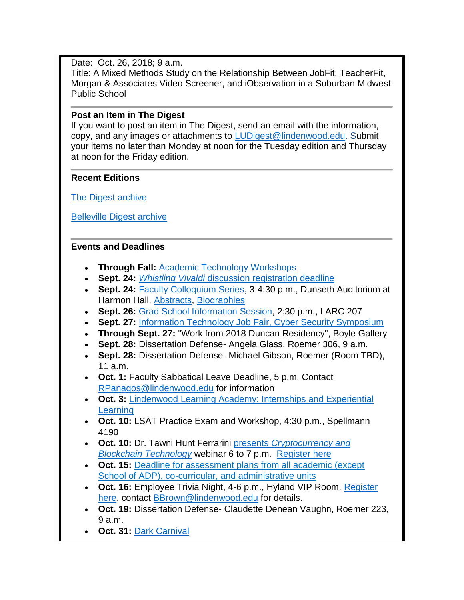# Date: Oct. 26, 2018; 9 a.m.

Title: A Mixed Methods Study on the Relationship Between JobFit, TeacherFit, Morgan & Associates Video Screener, and iObservation in a Suburban Midwest Public School

# **Post an Item in The Digest**

If you want to post an item in The Digest, send an email with the information, copy, and any images or attachments to [LUDigest@lindenwood.edu.](mailto:LUDigest@lindenwood.edu) Submit your items no later than Monday at noon for the Tuesday edition and Thursday at noon for the Friday edition.

# **Recent Editions**

[The Digest archive](http://www.lindenwood.edu/about/digest-archives/)

[Belleville Digest archive](http://www.lindenwood.edu/belleville/about/lindenwood-belleville-digest-archives/)

# **Events and Deadlines**

- **Through Fall:** [Academic Technology Workshops](http://felix.lindenwood.edu/newsletter/2018_08/fallstaffcatalog.pdf)
- **Sept. 24:** *Whistling Vivaldi* [discussion registration deadline](https://lindenwood.az1.qualtrics.com/jfe/form/SV_7WgXgRhi57yf92d)
- **Sept. 24:** [Faculty Colloquium Series,](http://felix.lindenwood.edu/newsletter/2018_09/fcsflyer.pdf) 3-4:30 p.m., Dunseth Auditorium at Harmon Hall. [Abstracts,](http://felix.lindenwood.edu/newsletter/2018_09/fcsabstracts.pdf) [Biographies](http://felix.lindenwood.edu/newsletter/2018_09/fcsbios.pdf)
- **Sept. 26:** [Grad School Information Session,](http://felix.lindenwood.edu/newsletter/2018_09/gradschool.pdf) 2:30 p.m., LARC 207
- **Sept. 27:** [Information Technology Job Fair, Cyber Security Symposium](http://felix.lindenwood.edu/newsletter/2018_08/itjobfair.pdf)
- **Through Sept. 27:** "Work from 2018 Duncan Residency", Boyle Gallery
- **Sept. 28:** Dissertation Defense- Angela Glass, Roemer 306, 9 a.m.
- **Sept. 28:** Dissertation Defense- Michael Gibson, Roemer (Room TBD), 11 a.m.
- **Oct. 1:** Faculty Sabbatical Leave Deadline, 5 p.m. Contact [RPanagos@lindenwood.edu](mailto:RPanagos@lindenwood.edu) for information
- **Oct. 3:** [Lindenwood Learning Academy: Internships and Experiential](https://www.eventbrite.com/e/lindenwood-learning-academy-internships-and-experiential-learning-unconference-tickets-50229267090)  **[Learning](https://www.eventbrite.com/e/lindenwood-learning-academy-internships-and-experiential-learning-unconference-tickets-50229267090)**
- **Oct. 10:** LSAT Practice Exam and Workshop, 4:30 p.m., Spellmann 4190
- **Oct. 10:** Dr. Tawni Hunt Ferrarini presents *[Cryptocurrency and](http://www.lindenwood.edu/academics/centers-institutes/the-hammond-institute/upcoming-webinars/)*  **[Blockchain Technology](http://www.lindenwood.edu/academics/centers-institutes/the-hammond-institute/upcoming-webinars/) webinar 6 to 7 p.m.** [Register here](https://register.gotowebinar.com/register/4570038008987754242)
- **Oct. 15:** [Deadline for assessment plans from all academic \(except](https://lindenwood.libguides.com/ld.php?content_id=44179252)  [School of ADP\), co-curricular, and administrative units](https://lindenwood.libguides.com/ld.php?content_id=44179252)
- **Oct. 16:** Employee Trivia Night, 4-6 p.m., Hyland VIP Room. [Register](https://lindenwood.az1.qualtrics.com/jfe/form/SV_a3Q8DhP3uZmXU3P)  [here,](https://lindenwood.az1.qualtrics.com/jfe/form/SV_a3Q8DhP3uZmXU3P) contact [BBrown@lindenwood.edu](mailto:BBrown@lindenwood.edu) for details.
- **Oct. 19:** Dissertation Defense- Claudette Denean Vaughn, Roemer 223, 9 a.m.
- **Oct. 31: [Dark Carnival](http://www.lindenwood.edu/dark-carnival/)**